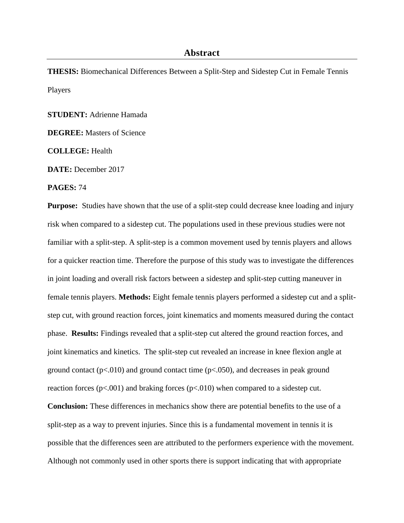**THESIS:** Biomechanical Differences Between a Split-Step and Sidestep Cut in Female Tennis Players

**STUDENT:** Adrienne Hamada

**DEGREE:** Masters of Science

**COLLEGE:** Health

**DATE:** December 2017

**PAGES:** 74

**Purpose:** Studies have shown that the use of a split-step could decrease knee loading and injury risk when compared to a sidestep cut. The populations used in these previous studies were not familiar with a split-step. A split-step is a common movement used by tennis players and allows for a quicker reaction time. Therefore the purpose of this study was to investigate the differences in joint loading and overall risk factors between a sidestep and split-step cutting maneuver in female tennis players. **Methods:** Eight female tennis players performed a sidestep cut and a splitstep cut, with ground reaction forces, joint kinematics and moments measured during the contact phase. **Results:** Findings revealed that a split-step cut altered the ground reaction forces, and joint kinematics and kinetics. The split-step cut revealed an increase in knee flexion angle at ground contact ( $p<.010$ ) and ground contact time ( $p<.050$ ), and decreases in peak ground reaction forces ( $p<.001$ ) and braking forces ( $p<.010$ ) when compared to a sidestep cut.

**Conclusion:** These differences in mechanics show there are potential benefits to the use of a split-step as a way to prevent injuries. Since this is a fundamental movement in tennis it is possible that the differences seen are attributed to the performers experience with the movement. Although not commonly used in other sports there is support indicating that with appropriate